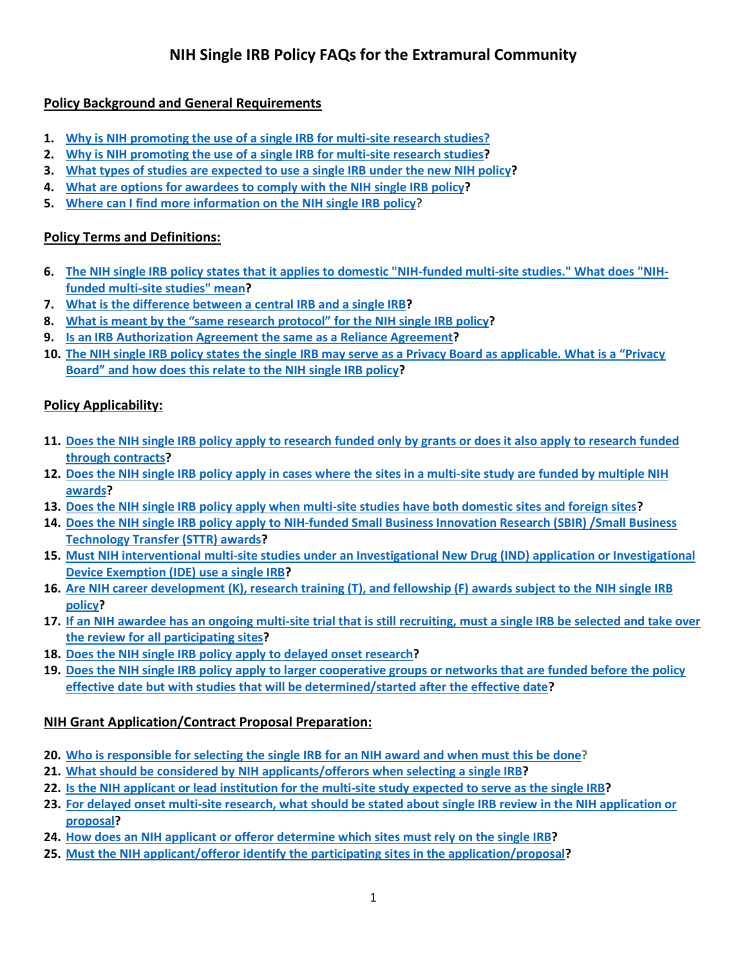# **NIH Single IRB Policy FAQs for the Extramural Community**

## <span id="page-0-0"></span>**Policy Background and General Requirements**

- **1. [Why is NIH promoting the use of a single IRB for multi-site research studies?](#page-2-0)**
- **2. [Why is NIH promoting the use of a single IRB](#page-2-1) for multi-site research studies?**
- **3. [What types of studies are expected to use a single IRB](#page-2-2) under the new NIH policy?**
- **4. [What are options for awardees to comply with the NIH single IRB policy?](#page-3-0)**
- **5. [Where can I find more information on the NIH single IRB policy](#page-3-1)**?

## <span id="page-0-1"></span>**Policy Terms and Definitions:**

- **6. [The NIH single IRB policy states that it applies to domestic "NIH-funded multi-site studies." What does "NIH](#page-3-2)[funded multi-site studies" mean?](#page-3-2)**
- **7. [What is the difference between a central IRB and a single IRB?](#page-3-3)**
- **8. [What is meant by the "same research protocol"](#page-3-4) for the NIH single IRB policy?**
- **9. [Is an IRB Authorization Agreement the same as a Reliance Agreement?](#page-4-0)**
- **10. The NIH single IRB policy states the single [IRB may serve as a Privacy Board as applicable. What is a "Privacy](#page-4-1)  Board" [and how does this relate to the NIH single IRB policy?](#page-4-1)**

## <span id="page-0-2"></span>**Policy Applicability:**

- **11. Does the [NIH single IRB policy apply to research funded only by grants or does it also apply to research funded](#page-4-2)  [through contracts?](#page-4-2)**
- **12. [Does the NIH single IRB policy apply in cases where the sites in a multi-site study are funded by multiple NIH](#page-4-3)  [awards?](#page-4-3)**
- **13. Does the NIH single IRB [policy apply when multi-site studies have both domestic sites and foreign sites?](#page-4-4)**
- **14. Does the NIH single IRB policy [apply to NIH-funded Small Business Innovation Research \(SBIR\) /Small Business](#page-4-5)  [Technology Transfer \(STTR\) awards?](#page-4-5)**
- **15. Must NIH interventional [multi-site studies under an Investigational New Drug \(IND\) application or Investigational](#page-5-0)  [Device Exemption \(IDE\) use a single IRB?](#page-5-0)**
- **16. Are NIH career development (K), research training (T), [and fellowship \(F\) awards subject to the NIH single IRB](#page-5-1)  [policy?](#page-5-1)**
- **17. [If an NIH awardee has an ongoing multi-site trial that is still recruiting, must a single IRB be selected and take over](#page-5-2)  [the review for all participating sites?](#page-5-2)**
- **18. Does the NIH single IRB policy [apply to delayed onset research?](#page-5-3)**
- **19. Does the NIH single IRB policy [apply to larger cooperative groups or networks that are funded before the policy](#page-5-4)  effective date but with studies that [will be determined/started after the effective date?](#page-5-4)**

## <span id="page-0-3"></span>**NIH Grant Application/Contract Proposal Preparation:**

- **20. Who [is responsible for selecting the single IRB for an NIH award and when must this be done?](#page-5-5)**
- **21. What should be considered by [NIH applicants/offerors when selecting a single IRB?](#page-6-0)**
- **22. [Is the NIH applicant or lead institution for the multi-site study expected to serve as the single IRB?](#page-6-1)**
- **23. For delayed onset multi-site research, [what should be stated about single IRB review in the](#page-6-2) NIH application or [proposal?](#page-6-2)**
- **24. How does an NIH [applicant or offeror determine which sites must rely on the single IRB?](#page-6-3)**
- **25. [Must the NIH applicant/offeror identify the participating sites in the application/proposal?](#page-6-4)**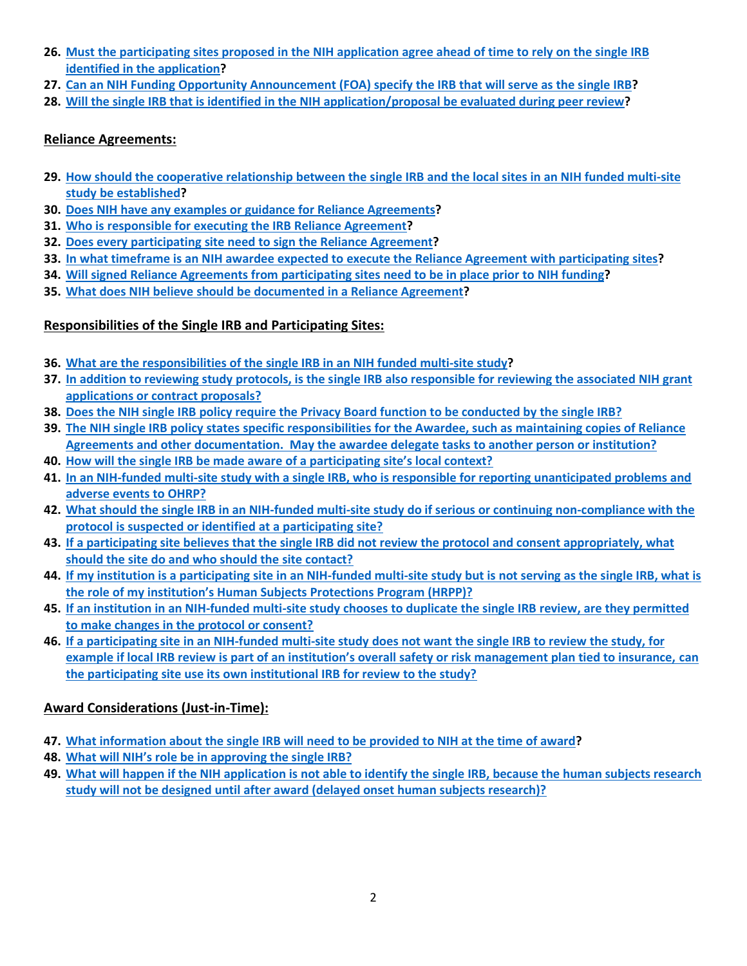- **26. Must the [participating sites proposed in the NIH application agree ahead of time to rely on the single IRB](#page-6-5)  [identified in the application?](#page-6-5)**
- **27. Can an NIH [Funding Opportunity Announcement \(FOA\) specify the IRB that will serve as the single IRB?](#page-6-6)**
- **28. [Will the single IRB that is identified in the NIH application/proposal be evaluated during peer review?](#page-6-7)**

## <span id="page-1-0"></span>**Reliance Agreements:**

- **29. [How should the cooperative relationship between the single IRB and the local sites in an NIH funded multi-site](#page-7-0)  [study be established?](#page-7-0)**
- **30. [Does NIH have any examples or guidance for Reliance Agreements?](#page-7-1)**
- **31. [Who is responsible for executing the IRB Reliance Agreement?](#page-7-2)**
- **32. [Does every participating site need to sign the Reliance Agreement?](#page-7-3)**
- **33. [In what timeframe is an NIH awardee expected to execute the Reliance Agreement with participating sites?](#page-7-4)**
- **34. [Will signed Reliance Agreements from participating sites need to be in place prior to NIH funding?](#page-7-5)**
- **35. [What does NIH believe should be documented in a Reliance Agreement?](#page-8-0)**

## <span id="page-1-1"></span>**Responsibilities of the Single IRB and Participating Sites:**

- **36. [What are the responsibilities of the](#page-8-1) single IRB in an NIH funded multi-site study?**
- **37. [In addition to reviewing study protocols, is the single IRB also responsible for reviewing the associated](#page-8-2) NIH grant [applications or contract proposals?](#page-8-2)**
- **38. [Does the NIH single IRB policy require the Privacy Board function to be conducted by the single IRB?](#page-8-3)**
- **39. [The NIH single IRB policy states specific responsibilities for the Awardee, such as maintaining copies of Reliance](#page-8-4)  [Agreements and other documentation. May the awardee delegate tasks to another person or institution?](#page-8-4)**
- **40. How will the single [IRB be made aware of a participating site's local context?](#page-8-5)**
- **41. [In an NIH-funded multi-site study with a single IRB, who is responsible for reporting unanticipated problems and](#page-8-6)  [adverse events to OHRP?](#page-8-6)**
- **42. [What should the single IRB in an NIH-funded multi-site study do if serious or continuing non-compliance with the](#page-9-0)  [protocol is suspected or identified at a participating site?](#page-9-0)**
- **43. If a participating site believes that [the single IRB did not review the protocol and consent appropriately, what](#page-9-1)  [should the site do and who should the site contact?](#page-9-1)**
- **44. [If my institution is a participating site in an NIH-funded multi-site study but is not serving as the single IRB, what is](#page-9-2)  [the role of my institution's Human Subjects Protections Program \(HRPP\)?](#page-9-2)**
- **45. [If an institution in an NIH-funded multi-site study chooses to duplicate the single IRB review, are they permitted](#page-9-3)  [to make changes in the protocol or consent?](#page-9-3)**
- **46. If a participating site in an NIH-funded multi-site study [does not want the single IRB to review the study, for](#page-9-4)  [example if local IRB review is part of an institution's overall safety or risk management plan tied to insurance,](#page-9-4) can [the participating site use its own institutional IRB for review to the study?](#page-9-4)**

## <span id="page-1-2"></span>**Award Considerations (Just-in-Time):**

- **47. [What information about the single IRB will need to be provided to NIH at the time of award?](#page-10-0)**
- **48. [What will NIH's role be in approving the s](#page-10-1)ingle IRB?**
- **49. What will happen if the NIH application is [not able to identify the single IRB, because the human subjects research](#page-10-2)  [study will not be designed until after award \(delayed onset human subjects research\)?](#page-10-2)**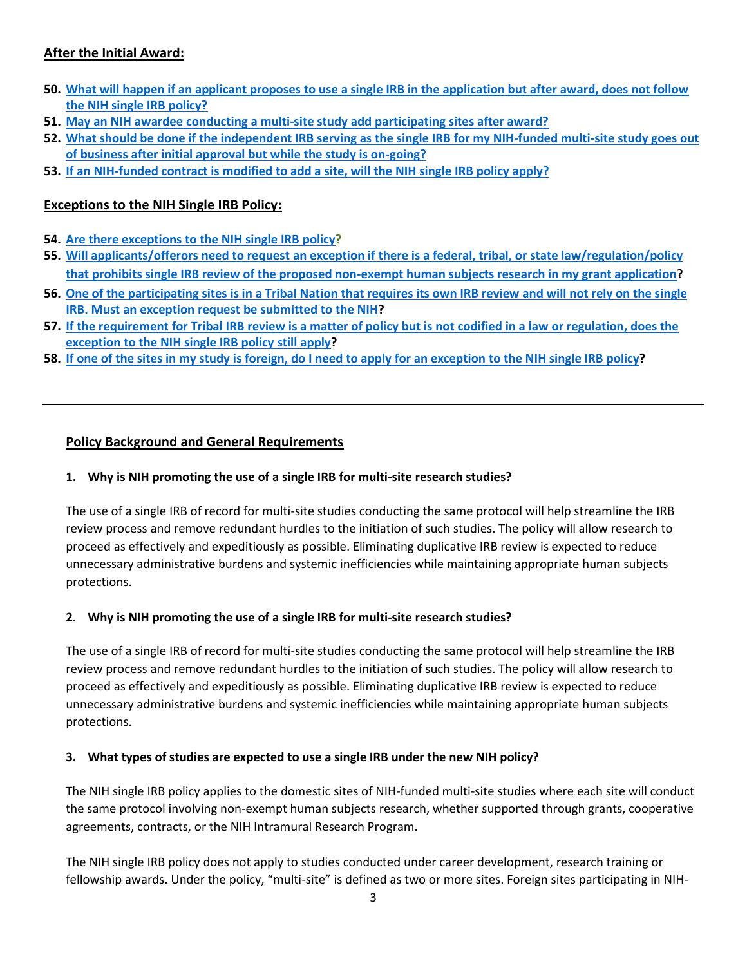## <span id="page-2-3"></span>**After the Initial Award:**

- **50. [What will happen if an applicant proposes to use a single IRB in the application but after award, does not follow](#page-10-3)  [the NIH single IRB policy?](#page-10-3)**
- **51. [May an NIH awardee conducting a multi-site study add participating sites after award?](#page-10-4)**
- **52. [What should be done if the independent IRB serving as the single IRB for my NIH-funded multi-site study goes out](#page-10-5)  [of business after initial approval but while the study is on-going?](#page-10-5)**
- **53. If an [NIH-funded contract is modified to add a site, will the NIH single IRB policy apply?](#page-10-6)**

## <span id="page-2-4"></span>**Exceptions to the NIH Single IRB Policy:**

- **54. [Are there exceptions to the NIH single IRB policy?](#page-11-0)**
- **55. [Will applicants/offerors need to request an exception if there is a federal, tribal, or state law/regulation/policy](#page-11-1)  [that prohibits single IRB review of the proposed non-exempt human subjects research in my grant application?](#page-11-1)**
- **56. [One of the participating sites is in a Tribal Nation that requires its own IRB review and will not rely on the single](#page-11-2)  [IRB. Must an exception request be submitted to the NIH?](#page-11-2)**
- **57. [If the requirement for Tribal IRB review is a matter of policy but is not codified in a law or regulation, does the](#page-11-3)  exception [to the NIH single IRB policy](#page-11-3) still apply?**
- **58. [If one of the sites in my study is foreign, do I need to apply for an exception](#page-11-4) to the NIH single IRB policy?**

### **Policy Background and General Requirements**

#### <span id="page-2-0"></span>**1. Why is NIH promoting the use of a single IRB for multi-site research studies?**

The use of a single IRB of record for multi-site studies conducting the same protocol will help streamline the IRB review process and remove redundant hurdles to the initiation of such studies. The policy will allow research to proceed as effectively and expeditiously as possible. Eliminating duplicative IRB review is expected to reduce unnecessary administrative burdens and systemic inefficiencies while maintaining appropriate human subjects protections.

#### <span id="page-2-1"></span>**2. Why is NIH promoting the use of a single IRB for multi-site research studies?**

The use of a single IRB of record for multi-site studies conducting the same protocol will help streamline the IRB review process and remove redundant hurdles to the initiation of such studies. The policy will allow research to proceed as effectively and expeditiously as possible. Eliminating duplicative IRB review is expected to reduce unnecessary administrative burdens and systemic inefficiencies while maintaining appropriate human subjects protections.

#### <span id="page-2-2"></span>**3. What types of studies are expected to use a single IRB under the new NIH policy?**

The NIH single IRB policy applies to the domestic sites of NIH-funded multi-site studies where each site will conduct the same protocol involving non-exempt human subjects research, whether supported through grants, cooperative agreements, contracts, or the NIH Intramural Research Program.

The NIH single IRB policy does not apply to studies conducted under career development, research training or fellowship awards. Under the policy, "multi-site" is defined as two or more sites. Foreign sites participating in NIH-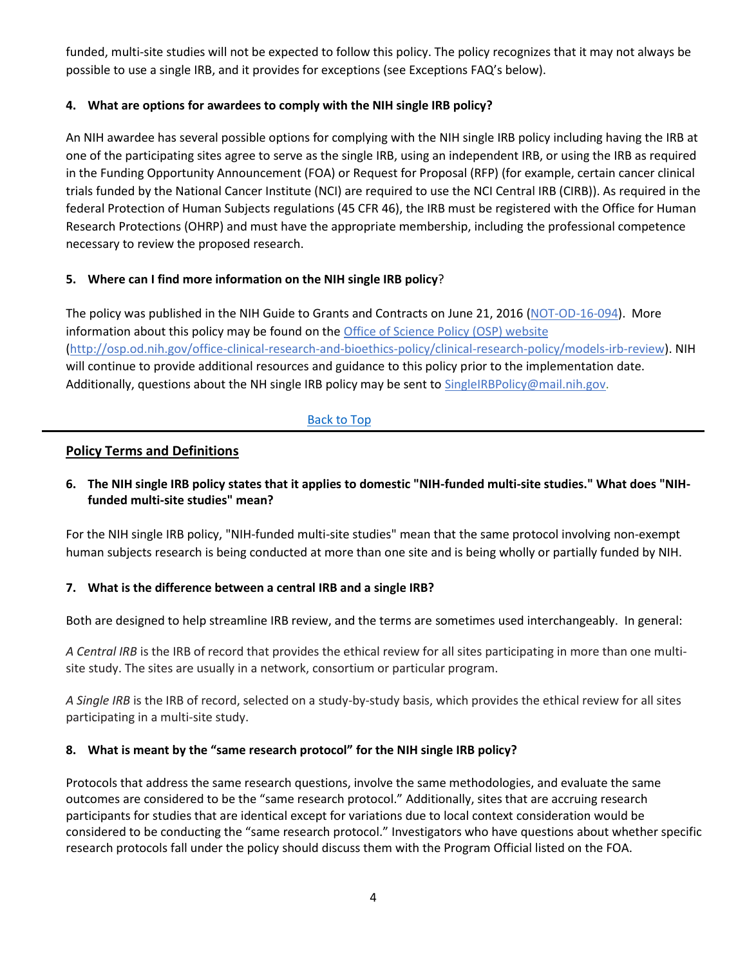funded, multi-site studies will not be expected to follow this policy. The policy recognizes that it may not always be possible to use a single IRB, and it provides for exceptions (see Exceptions FAQ's below).

### <span id="page-3-0"></span>**4. What are options for awardees to comply with the NIH single IRB policy?**

An NIH awardee has several possible options for complying with the NIH single IRB policy including having the IRB at one of the participating sites agree to serve as the single IRB, using an independent IRB, or using the IRB as required in the Funding Opportunity Announcement (FOA) or Request for Proposal (RFP) (for example, certain cancer clinical trials funded by the National Cancer Institute (NCI) are required to use the NCI Central IRB (CIRB)). As required in the federal Protection of Human Subjects regulations (45 CFR 46), the IRB must be registered with the Office for Human Research Protections (OHRP) and must have the appropriate membership, including the professional competence necessary to review the proposed research.

## <span id="page-3-1"></span>**5. Where can I find more information on the NIH single IRB policy**?

The policy was published in the NIH Guide to Grants and Contracts on June 21, 2016 [\(NOT-OD-16-094\)](http://grants.nih.gov/grants/guide/notice-files/NOT-OD-16-094.html).More information about this policy may be found on th[e Office of Science Policy \(OSP\) website](http://osp.od.nih.gov/office-clinical-research-and-bioethics-policy/clinical-research-policy/models-irb-review) (http://osp.od.nih.gov/office-clinical-research-and-bioethics-policy/clinical-research-policy/models-irb-review). NIH will continue to provide additional resources and guidance to this policy prior to the implementation date. Additionally, questions about the NH single IRB policy may be sent t[o SingleIRBPolicy@mail.nih.gov.](mailto:SingleIRBPolicy@mail.nih.gov)

## [Back to Top](#page-0-0)

### **Policy Terms and Definitions**

## <span id="page-3-2"></span>**6. The NIH single IRB policy states that it applies to domestic "NIH-funded multi-site studies." What does "NIHfunded multi-site studies" mean?**

For the NIH single IRB policy, "NIH-funded multi-site studies" mean that the same protocol involving non-exempt human subjects research is being conducted at more than one site and is being wholly or partially funded by NIH.

### <span id="page-3-3"></span>**7. What is the difference between a central IRB and a single IRB?**

Both are designed to help streamline IRB review, and the terms are sometimes used interchangeably. In general:

*A Central IRB* is the IRB of record that provides the ethical review for all sites participating in more than one multisite study. The sites are usually in a network, consortium or particular program.

*A Single IRB* is the IRB of record, selected on a study-by-study basis, which provides the ethical review for all sites participating in a multi-site study.

### <span id="page-3-4"></span>**8. What is meant by the "same research protocol" for the NIH single IRB policy?**

Protocols that address the same research questions, involve the same methodologies, and evaluate the same outcomes are considered to be the "same research protocol." Additionally, sites that are accruing research participants for studies that are identical except for variations due to local context consideration would be considered to be conducting the "same research protocol." Investigators who have questions about whether specific research protocols fall under the policy should discuss them with the Program Official listed on the FOA.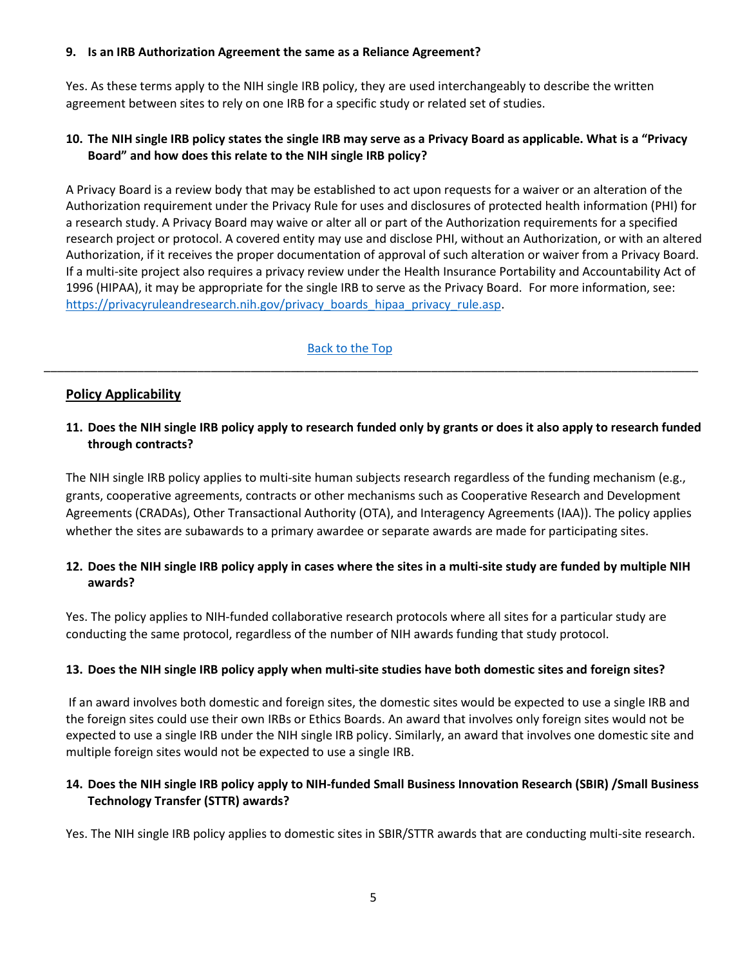#### <span id="page-4-0"></span>**9. Is an IRB Authorization Agreement the same as a Reliance Agreement?**

Yes. As these terms apply to the NIH single IRB policy, they are used interchangeably to describe the written agreement between sites to rely on one IRB for a specific study or related set of studies.

#### <span id="page-4-1"></span>**10. The NIH single IRB policy states the single IRB may serve as a Privacy Board as applicable. What is a "Privacy Board" and how does this relate to the NIH single IRB policy?**

A Privacy Board is a review body that may be established to act upon requests for a waiver or an alteration of the Authorization requirement under the Privacy Rule for uses and disclosures of protected health information (PHI) for a research study. A Privacy Board may waive or alter all or part of the Authorization requirements for a specified research project or protocol. A covered entity may use and disclose PHI, without an Authorization, or with an altered Authorization, if it receives the proper documentation of approval of such alteration or waiver from a Privacy Board. If a multi-site project also requires a privacy review under the Health Insurance Portability and Accountability Act of 1996 (HIPAA), it may be appropriate for the single IRB to serve as the Privacy Board. For more information, see: [https://privacyruleandresearch.nih.gov/privacy\\_boards\\_hipaa\\_privacy\\_rule.asp.](https://privacyruleandresearch.nih.gov/privacy_boards_hipaa_privacy_rule.asp)

#### [Back to the Top](#page-0-1)

\_\_\_\_\_\_\_\_\_\_\_\_\_\_\_\_\_\_\_\_\_\_\_\_\_\_\_\_\_\_\_\_\_\_\_\_\_\_\_\_\_\_\_\_\_\_\_\_\_\_\_\_\_\_\_\_\_\_\_\_\_\_\_\_\_\_\_\_\_\_\_\_\_\_\_\_\_\_\_\_\_\_\_\_\_\_\_\_\_\_\_\_\_\_\_\_\_\_

### **Policy Applicability**

#### <span id="page-4-2"></span>**11. Does the NIH single IRB policy apply to research funded only by grants or does it also apply to research funded through contracts?**

The NIH single IRB policy applies to multi-site human subjects research regardless of the funding mechanism (e.g., grants, cooperative agreements, contracts or other mechanisms such as Cooperative Research and Development Agreements (CRADAs), Other Transactional Authority (OTA), and Interagency Agreements (IAA)). The policy applies whether the sites are subawards to a primary awardee or separate awards are made for participating sites.

### <span id="page-4-3"></span>**12. Does the NIH single IRB policy apply in cases where the sites in a multi-site study are funded by multiple NIH awards?**

Yes. The policy applies to NIH-funded collaborative research protocols where all sites for a particular study are conducting the same protocol, regardless of the number of NIH awards funding that study protocol.

#### <span id="page-4-4"></span>**13. Does the NIH single IRB policy apply when multi-site studies have both domestic sites and foreign sites?**

If an award involves both domestic and foreign sites, the domestic sites would be expected to use a single IRB and the foreign sites could use their own IRBs or Ethics Boards. An award that involves only foreign sites would not be expected to use a single IRB under the NIH single IRB policy. Similarly, an award that involves one domestic site and multiple foreign sites would not be expected to use a single IRB.

#### <span id="page-4-5"></span>**14. Does the NIH single IRB policy apply to NIH-funded Small Business Innovation Research (SBIR) /Small Business Technology Transfer (STTR) awards?**

Yes. The NIH single IRB policy applies to domestic sites in SBIR/STTR awards that are conducting multi-site research.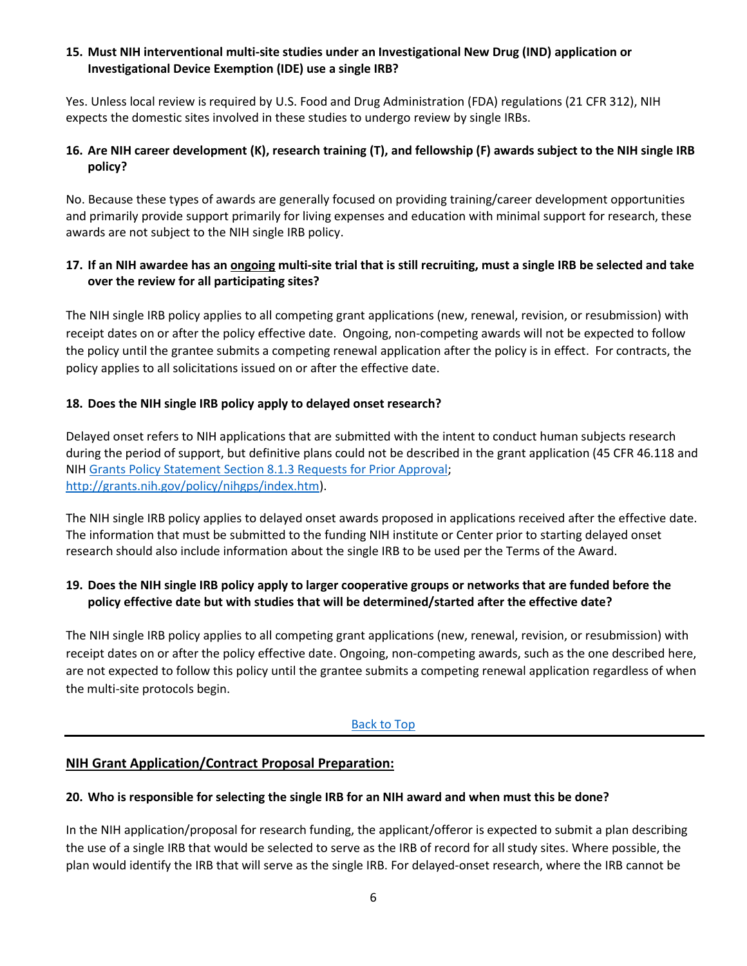#### <span id="page-5-0"></span>**15. Must NIH interventional multi-site studies under an Investigational New Drug (IND) application or Investigational Device Exemption (IDE) use a single IRB?**

Yes. Unless local review is required by U.S. Food and Drug Administration (FDA) regulations (21 CFR 312), NIH expects the domestic sites involved in these studies to undergo review by single IRBs.

### <span id="page-5-1"></span>**16. Are NIH career development (K), research training (T), and fellowship (F) awards subject to the NIH single IRB policy?**

No. Because these types of awards are generally focused on providing training/career development opportunities and primarily provide support primarily for living expenses and education with minimal support for research, these awards are not subject to the NIH single IRB policy.

## <span id="page-5-2"></span>**17. If an NIH awardee has an ongoing multi-site trial that is still recruiting, must a single IRB be selected and take over the review for all participating sites?**

The NIH single IRB policy applies to all competing grant applications (new, renewal, revision, or resubmission) with receipt dates on or after the policy effective date. Ongoing, non-competing awards will not be expected to follow the policy until the grantee submits a competing renewal application after the policy is in effect. For contracts, the policy applies to all solicitations issued on or after the effective date.

### <span id="page-5-3"></span>**18. Does the NIH single IRB policy apply to delayed onset research?**

Delayed onset refers to NIH applications that are submitted with the intent to conduct human subjects research during the period of support, but definitive plans could not be described in the grant application (45 CFR 46.118 and NIH [Grants Policy Statement Section 8.1.3 Requests for Prior Approval;](https://grants.nih.gov/grants/policy/nihgps/HTML5/section_8/8.1_changes_in_project_and_budget.htm#Requests) [http://grants.nih.gov/policy/nihgps/index.htm\)](http://grants.nih.gov/policy/nihgps/index.htm).

The NIH single IRB policy applies to delayed onset awards proposed in applications received after the effective date. The information that must be submitted to the funding NIH institute or Center prior to starting delayed onset research should also include information about the single IRB to be used per the Terms of the Award.

### <span id="page-5-4"></span>**19. Does the NIH single IRB policy apply to larger cooperative groups or networks that are funded before the policy effective date but with studies that will be determined/started after the effective date?**

The NIH single IRB policy applies to all competing grant applications (new, renewal, revision, or resubmission) with receipt dates on or after the policy effective date. Ongoing, non-competing awards, such as the one described here, are not expected to follow this policy until the grantee submits a competing renewal application regardless of when the multi-site protocols begin.

#### [Back to Top](#page-0-2)

### **NIH Grant Application/Contract Proposal Preparation:**

#### <span id="page-5-5"></span>**20. Who is responsible for selecting the single IRB for an NIH award and when must this be done?**

In the NIH application/proposal for research funding, the applicant/offeror is expected to submit a plan describing the use of a single IRB that would be selected to serve as the IRB of record for all study sites. Where possible, the plan would identify the IRB that will serve as the single IRB. For delayed-onset research, where the IRB cannot be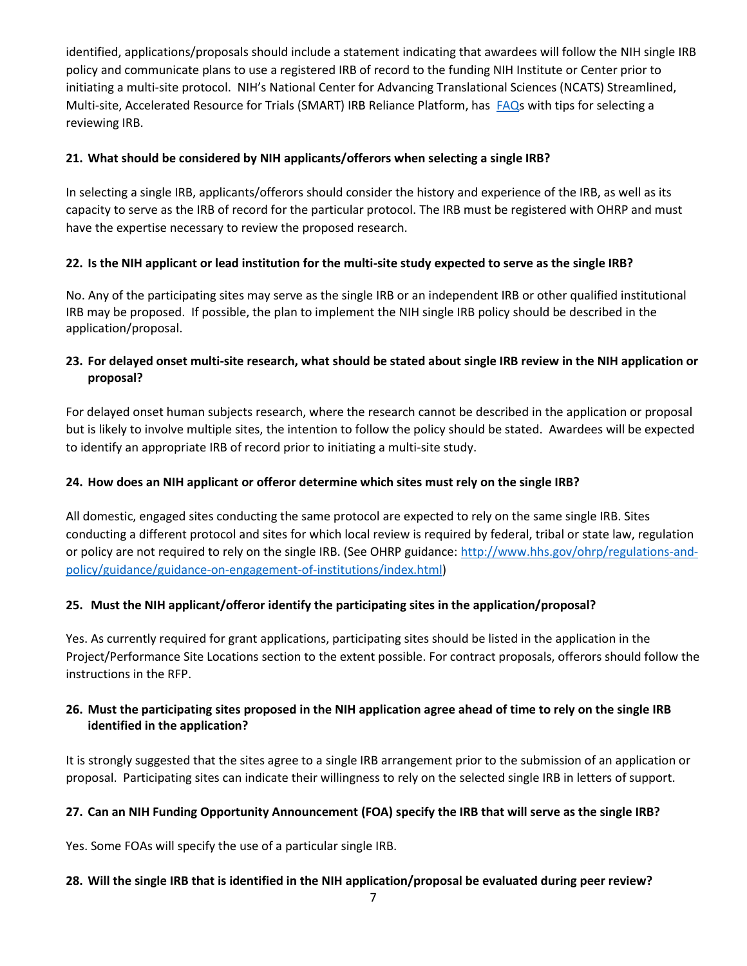identified, applications/proposals should include a statement indicating that awardees will follow the NIH single IRB policy and communicate plans to use a registered IRB of record to the funding NIH Institute or Center prior to initiating a multi-site protocol. NIH's National Center for Advancing Translational Sciences (NCATS) Streamlined, Multi-site, Accelerated Resource for Trials (SMART) IRB Reliance Platform, has [FAQs](https://smartirb.org/sites/default/files/faq.pdf) with tips for selecting a reviewing IRB.

## <span id="page-6-0"></span>**21. What should be considered by NIH applicants/offerors when selecting a single IRB?**

In selecting a single IRB, applicants/offerors should consider the history and experience of the IRB, as well as its capacity to serve as the IRB of record for the particular protocol. The IRB must be registered with OHRP and must have the expertise necessary to review the proposed research.

## <span id="page-6-1"></span>**22. Is the NIH applicant or lead institution for the multi-site study expected to serve as the single IRB?**

No. Any of the participating sites may serve as the single IRB or an independent IRB or other qualified institutional IRB may be proposed. If possible, the plan to implement the NIH single IRB policy should be described in the application/proposal.

## <span id="page-6-2"></span>**23. For delayed onset multi-site research, what should be stated about single IRB review in the NIH application or proposal?**

For delayed onset human subjects research, where the research cannot be described in the application or proposal but is likely to involve multiple sites, the intention to follow the policy should be stated. Awardees will be expected to identify an appropriate IRB of record prior to initiating a multi-site study.

### <span id="page-6-3"></span>**24. How does an NIH applicant or offeror determine which sites must rely on the single IRB?**

All domestic, engaged sites conducting the same protocol are expected to rely on the same single IRB. Sites conducting a different protocol and sites for which local review is required by federal, tribal or state law, regulation or policy are not required to rely on the single IRB. (See OHRP guidance[: http://www.hhs.gov/ohrp/regulations-and](http://www.hhs.gov/ohrp/regulations-and-policy/guidance/guidance-on-engagement-of-institutions/index.html)[policy/guidance/guidance-on-engagement-of-institutions/index.html\)](http://www.hhs.gov/ohrp/regulations-and-policy/guidance/guidance-on-engagement-of-institutions/index.html)

### <span id="page-6-4"></span>**25. Must the NIH applicant/offeror identify the participating sites in the application/proposal?**

Yes. As currently required for grant applications, participating sites should be listed in the application in the Project/Performance Site Locations section to the extent possible. For contract proposals, offerors should follow the instructions in the RFP.

### <span id="page-6-5"></span>**26. Must the participating sites proposed in the NIH application agree ahead of time to rely on the single IRB identified in the application?**

It is strongly suggested that the sites agree to a single IRB arrangement prior to the submission of an application or proposal. Participating sites can indicate their willingness to rely on the selected single IRB in letters of support.

### <span id="page-6-6"></span>**27. Can an NIH Funding Opportunity Announcement (FOA) specify the IRB that will serve as the single IRB?**

Yes. Some FOAs will specify the use of a particular single IRB.

### <span id="page-6-7"></span>**28. Will the single IRB that is identified in the NIH application/proposal be evaluated during peer review?**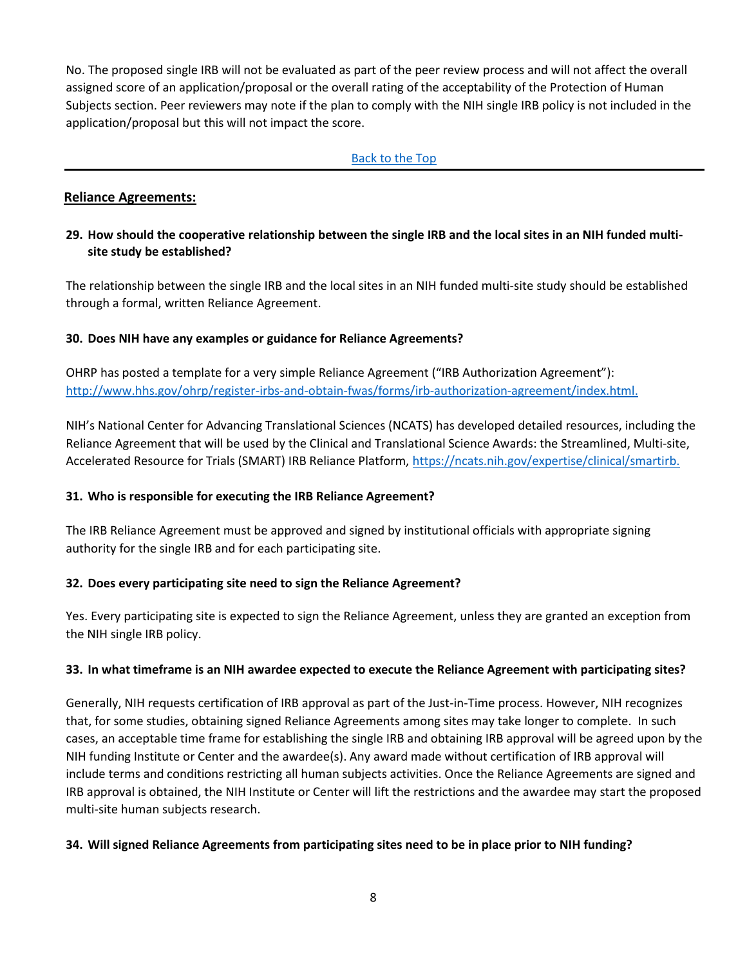No. The proposed single IRB will not be evaluated as part of the peer review process and will not affect the overall assigned score of an application/proposal or the overall rating of the acceptability of the Protection of Human Subjects section. Peer reviewers may note if the plan to comply with the NIH single IRB policy is not included in the application/proposal but this will not impact the score.

#### [Back to the Top](#page-0-3)

## **Reliance Agreements:**

## <span id="page-7-0"></span>**29. How should the cooperative relationship between the single IRB and the local sites in an NIH funded multisite study be established?**

The relationship between the single IRB and the local sites in an NIH funded multi-site study should be established through a formal, written Reliance Agreement.

### <span id="page-7-1"></span>**30. Does NIH have any examples or guidance for Reliance Agreements?**

OHRP has posted a template for a very simple Reliance Agreement ("IRB Authorization Agreement"): [http://www.hhs.gov/ohrp/register-irbs-and-obtain-fwas/forms/irb-authorization-agreement/index.html.](http://www.hhs.gov/ohrp/register-irbs-and-obtain-fwas/forms/irb-authorization-agreement/index.html)

NIH's National Center for Advancing Translational Sciences (NCATS) has developed detailed resources, including the Reliance Agreement that will be used by the Clinical and Translational Science Awards: the Streamlined, Multi-site, Accelerated Resource for Trials (SMART) IRB Reliance Platform, [https://ncats.nih.gov/expertise/clinical/smartirb.](https://ncats.nih.gov/expertise/clinical/smartirb)

### <span id="page-7-2"></span>**31. Who is responsible for executing the IRB Reliance Agreement?**

The IRB Reliance Agreement must be approved and signed by institutional officials with appropriate signing authority for the single IRB and for each participating site.

### <span id="page-7-3"></span>**32. Does every participating site need to sign the Reliance Agreement?**

Yes. Every participating site is expected to sign the Reliance Agreement, unless they are granted an exception from the NIH single IRB policy.

### <span id="page-7-4"></span>**33. In what timeframe is an NIH awardee expected to execute the Reliance Agreement with participating sites?**

Generally, NIH requests certification of IRB approval as part of the Just-in-Time process. However, NIH recognizes that, for some studies, obtaining signed Reliance Agreements among sites may take longer to complete. In such cases, an acceptable time frame for establishing the single IRB and obtaining IRB approval will be agreed upon by the NIH funding Institute or Center and the awardee(s). Any award made without certification of IRB approval will include terms and conditions restricting all human subjects activities. Once the Reliance Agreements are signed and IRB approval is obtained, the NIH Institute or Center will lift the restrictions and the awardee may start the proposed multi-site human subjects research.

### <span id="page-7-5"></span>**34. Will signed Reliance Agreements from participating sites need to be in place prior to NIH funding?**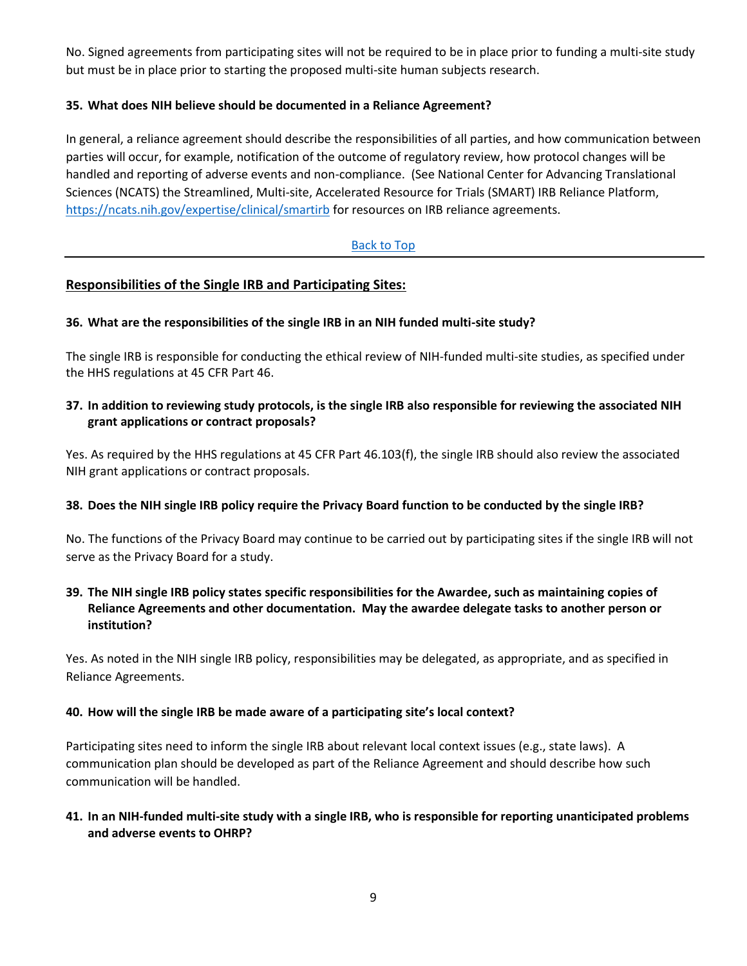No. Signed agreements from participating sites will not be required to be in place prior to funding a multi-site study but must be in place prior to starting the proposed multi-site human subjects research.

### <span id="page-8-0"></span>**35. What does NIH believe should be documented in a Reliance Agreement?**

In general, a reliance agreement should describe the responsibilities of all parties, and how communication between parties will occur, for example, notification of the outcome of regulatory review, how protocol changes will be handled and reporting of adverse events and non-compliance. (See National Center for Advancing Translational Sciences (NCATS) the Streamlined, Multi-site, Accelerated Resource for Trials (SMART) IRB Reliance Platform, <https://ncats.nih.gov/expertise/clinical/smartirb> for resources on IRB reliance agreements.

### [Back to Top](#page-1-0)

## **Responsibilities of the Single IRB and Participating Sites:**

### <span id="page-8-1"></span>**36. What are the responsibilities of the single IRB in an NIH funded multi-site study?**

The single IRB is responsible for conducting the ethical review of NIH-funded multi-site studies, as specified under the HHS regulations at 45 CFR Part 46.

### <span id="page-8-2"></span>**37. In addition to reviewing study protocols, is the single IRB also responsible for reviewing the associated NIH grant applications or contract proposals?**

Yes. As required by the HHS regulations at 45 CFR Part 46.103(f), the single IRB should also review the associated NIH grant applications or contract proposals.

### <span id="page-8-3"></span>**38. Does the NIH single IRB policy require the Privacy Board function to be conducted by the single IRB?**

No. The functions of the Privacy Board may continue to be carried out by participating sites if the single IRB will not serve as the Privacy Board for a study.

## <span id="page-8-4"></span>**39. The NIH single IRB policy states specific responsibilities for the Awardee, such as maintaining copies of Reliance Agreements and other documentation. May the awardee delegate tasks to another person or institution?**

Yes. As noted in the NIH single IRB policy, responsibilities may be delegated, as appropriate, and as specified in Reliance Agreements.

### <span id="page-8-5"></span>**40. How will the single IRB be made aware of a participating site's local context?**

Participating sites need to inform the single IRB about relevant local context issues (e.g., state laws). A communication plan should be developed as part of the Reliance Agreement and should describe how such communication will be handled.

### <span id="page-8-6"></span>**41. In an NIH-funded multi-site study with a single IRB, who is responsible for reporting unanticipated problems and adverse events to OHRP?**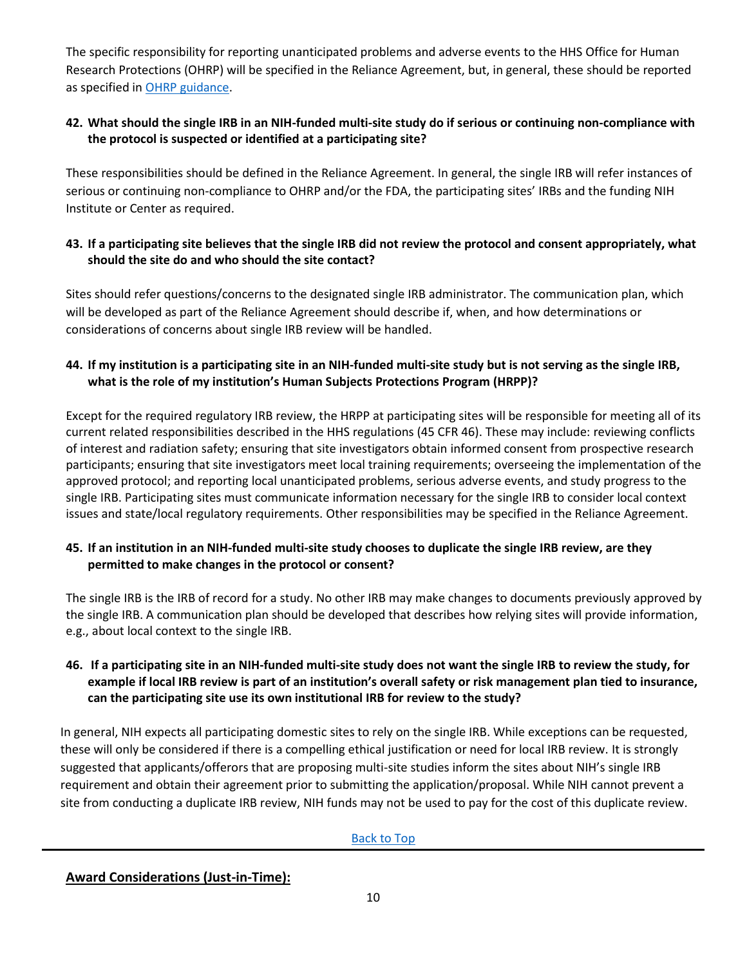The specific responsibility for reporting unanticipated problems and adverse events to the HHS Office for Human Research Protections (OHRP) will be specified in the Reliance Agreement, but, in general, these should be reported as specified in [OHRP guidance.](http://www.hhs.gov/ohrp/regulations-and-policy/guidance/reviewing-unanticipated-problems/index.htm)

## <span id="page-9-0"></span>**42. What should the single IRB in an NIH-funded multi-site study do if serious or continuing non-compliance with the protocol is suspected or identified at a participating site?**

These responsibilities should be defined in the Reliance Agreement. In general, the single IRB will refer instances of serious or continuing non-compliance to OHRP and/or the FDA, the participating sites' IRBs and the funding NIH Institute or Center as required.

### <span id="page-9-1"></span>**43. If a participating site believes that the single IRB did not review the protocol and consent appropriately, what should the site do and who should the site contact?**

Sites should refer questions/concerns to the designated single IRB administrator. The communication plan, which will be developed as part of the Reliance Agreement should describe if, when, and how determinations or considerations of concerns about single IRB review will be handled.

## <span id="page-9-2"></span>**44. If my institution is a participating site in an NIH-funded multi-site study but is not serving as the single IRB, what is the role of my institution's Human Subjects Protections Program (HRPP)?**

Except for the required regulatory IRB review, the HRPP at participating sites will be responsible for meeting all of its current related responsibilities described in the HHS regulations (45 CFR 46). These may include: reviewing conflicts of interest and radiation safety; ensuring that site investigators obtain informed consent from prospective research participants; ensuring that site investigators meet local training requirements; overseeing the implementation of the approved protocol; and reporting local unanticipated problems, serious adverse events, and study progress to the single IRB. Participating sites must communicate information necessary for the single IRB to consider local context issues and state/local regulatory requirements. Other responsibilities may be specified in the Reliance Agreement.

### <span id="page-9-3"></span>**45. If an institution in an NIH-funded multi-site study chooses to duplicate the single IRB review, are they permitted to make changes in the protocol or consent?**

The single IRB is the IRB of record for a study. No other IRB may make changes to documents previously approved by the single IRB. A communication plan should be developed that describes how relying sites will provide information, e.g., about local context to the single IRB.

## <span id="page-9-4"></span>**46. If a participating site in an NIH-funded multi-site study does not want the single IRB to review the study, for example if local IRB review is part of an institution's overall safety or risk management plan tied to insurance, can the participating site use its own institutional IRB for review to the study?**

In general, NIH expects all participating domestic sites to rely on the single IRB. While exceptions can be requested, these will only be considered if there is a compelling ethical justification or need for local IRB review. It is strongly suggested that applicants/offerors that are proposing multi-site studies inform the sites about NIH's single IRB requirement and obtain their agreement prior to submitting the application/proposal. While NIH cannot prevent a site from conducting a duplicate IRB review, NIH funds may not be used to pay for the cost of this duplicate review.

[Back to Top](#page-1-1)

**Award Considerations (Just-in-Time):**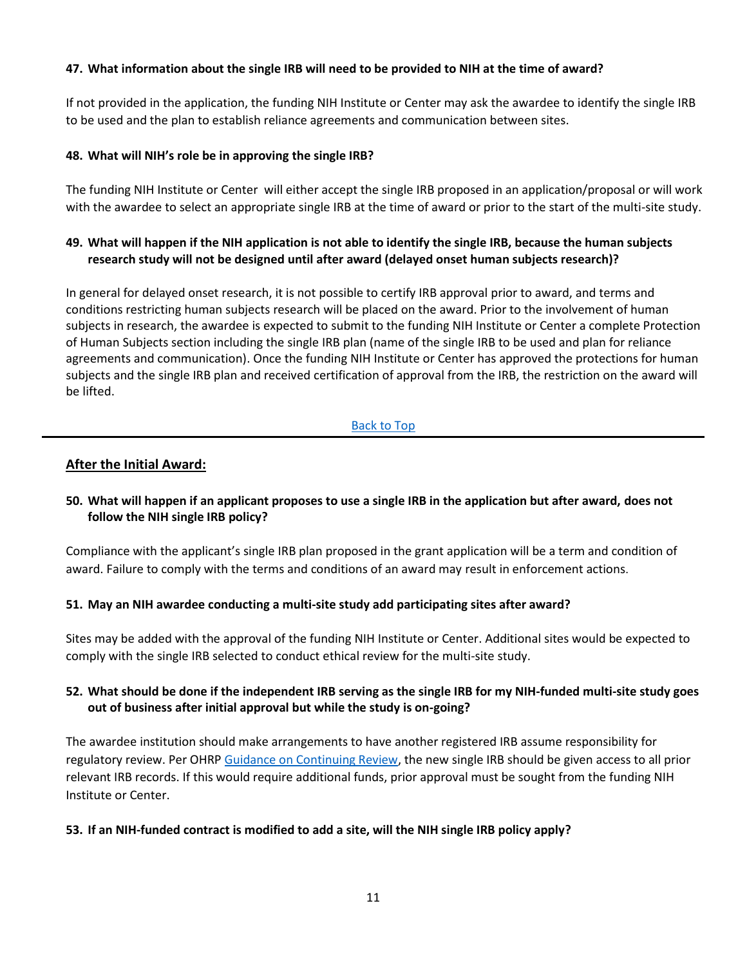#### <span id="page-10-0"></span>**47. What information about the single IRB will need to be provided to NIH at the time of award?**

If not provided in the application, the funding NIH Institute or Center may ask the awardee to identify the single IRB to be used and the plan to establish reliance agreements and communication between sites.

#### <span id="page-10-1"></span>**48. What will NIH's role be in approving the single IRB?**

The funding NIH Institute or Center will either accept the single IRB proposed in an application/proposal or will work with the awardee to select an appropriate single IRB at the time of award or prior to the start of the multi-site study.

#### <span id="page-10-2"></span>**49. What will happen if the NIH application is not able to identify the single IRB, because the human subjects research study will not be designed until after award (delayed onset human subjects research)?**

In general for delayed onset research, it is not possible to certify IRB approval prior to award, and terms and conditions restricting human subjects research will be placed on the award. Prior to the involvement of human subjects in research, the awardee is expected to submit to the funding NIH Institute or Center a complete Protection of Human Subjects section including the single IRB plan (name of the single IRB to be used and plan for reliance agreements and communication). Once the funding NIH Institute or Center has approved the protections for human subjects and the single IRB plan and received certification of approval from the IRB, the restriction on the award will be lifted.

#### [Back to Top](#page-1-2)

#### **After the Initial Award:**

### <span id="page-10-3"></span>**50. What will happen if an applicant proposes to use a single IRB in the application but after award, does not follow the NIH single IRB policy?**

Compliance with the applicant's single IRB plan proposed in the grant application will be a term and condition of award. Failure to comply with the terms and conditions of an award may result in enforcement actions.

#### <span id="page-10-4"></span>**51. May an NIH awardee conducting a multi-site study add participating sites after award?**

Sites may be added with the approval of the funding NIH Institute or Center. Additional sites would be expected to comply with the single IRB selected to conduct ethical review for the multi-site study.

#### <span id="page-10-5"></span>**52. What should be done if the independent IRB serving as the single IRB for my NIH-funded multi-site study goes out of business after initial approval but while the study is on-going?**

The awardee institution should make arrangements to have another registered IRB assume responsibility for regulatory review. Per OHRP [Guidance on Continuing Review,](http://www.hhs.gov/ohrp/regulations-and-policy/guidance/guidance-on-continuing-review-2010/index.html) the new single IRB should be given access to all prior relevant IRB records. If this would require additional funds, prior approval must be sought from the funding NIH Institute or Center.

#### <span id="page-10-6"></span>**53. If an NIH-funded contract is modified to add a site, will the NIH single IRB policy apply?**